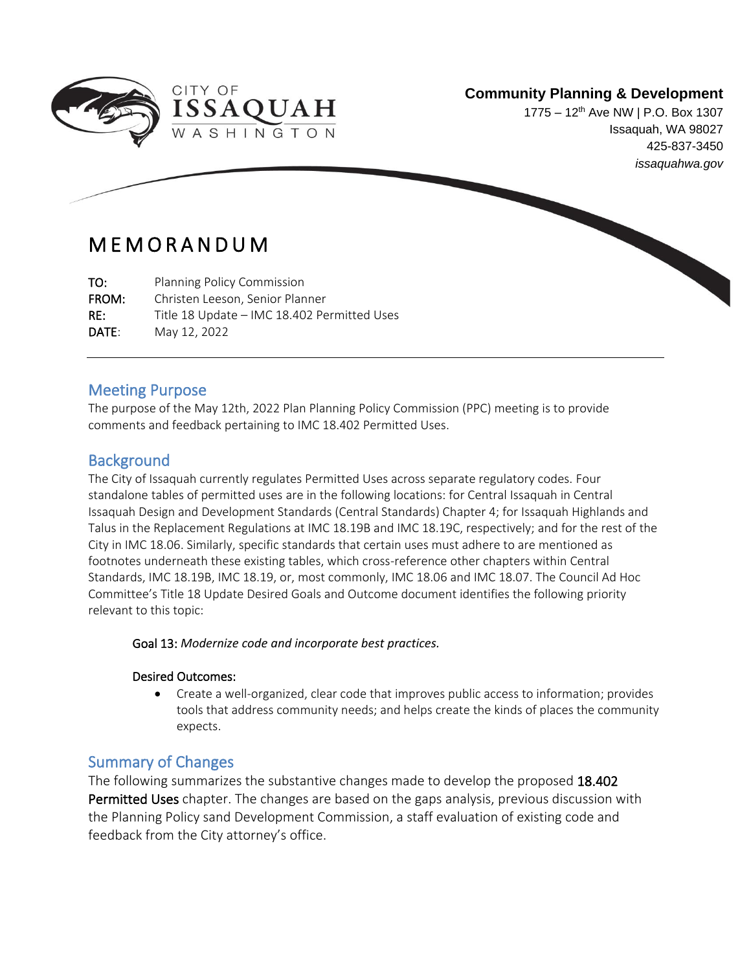

1775 – 12<sup>th</sup> Ave NW | P.O. Box 1307 Issaquah, WA 98027 425-837-3450 *issaquahwa.gov*

# M E M O R A N D U M

TO: Planning Policy Commission FROM: Christen Leeson, Senior Planner RE: Title 18 Update – IMC 18.402 Permitted Uses DATE: May 12, 2022

## Meeting Purpose

The purpose of the May 12th, 2022 Plan Planning Policy Commission (PPC) meeting is to provide comments and feedback pertaining to IMC 18.402 Permitted Uses.

# **Background**

ł

The City of Issaquah currently regulates Permitted Uses across separate regulatory codes. Four standalone tables of permitted uses are in the following locations: for Central Issaquah in Central Issaquah Design and Development Standards (Central Standards) Chapter 4; for Issaquah Highlands and Talus in the Replacement Regulations at IMC 18.19B and IMC 18.19C, respectively; and for the rest of the City in IMC 18.06. Similarly, specific standards that certain uses must adhere to are mentioned as footnotes underneath these existing tables, which cross-reference other chapters within Central Standards, IMC 18.19B, IMC 18.19, or, most commonly, IMC 18.06 and IMC 18.07. The Council Ad Hoc Committee's Title 18 Update Desired Goals and Outcome document identifies the following priority relevant to this topic:

### Goal 13: *Modernize code and incorporate best practices.*

### Desired Outcomes:

• Create a well-organized, clear code that improves public access to information; provides tools that address community needs; and helps create the kinds of places the community expects.

# Summary of Changes

The following summarizes the substantive changes made to develop the proposed 18.402 Permitted Uses chapter. The changes are based on the gaps analysis, previous discussion with the Planning Policy sand Development Commission, a staff evaluation of existing code and feedback from the City attorney's office.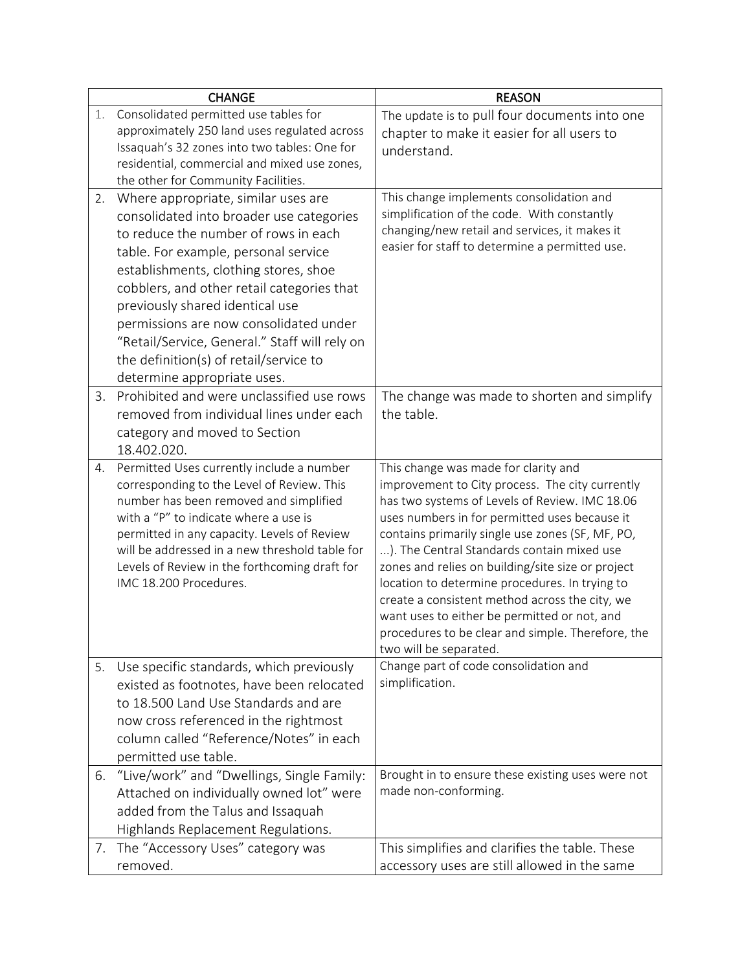|    | <b>CHANGE</b>                                                                    | <b>REASON</b>                                                                                  |  |
|----|----------------------------------------------------------------------------------|------------------------------------------------------------------------------------------------|--|
| 1. | Consolidated permitted use tables for                                            | The update is to pull four documents into one                                                  |  |
|    | approximately 250 land uses regulated across                                     | chapter to make it easier for all users to                                                     |  |
|    | Issaquah's 32 zones into two tables: One for                                     | understand.                                                                                    |  |
|    | residential, commercial and mixed use zones,                                     |                                                                                                |  |
|    | the other for Community Facilities.                                              |                                                                                                |  |
| 2. | Where appropriate, similar uses are                                              | This change implements consolidation and<br>simplification of the code. With constantly        |  |
|    | consolidated into broader use categories<br>to reduce the number of rows in each | changing/new retail and services, it makes it                                                  |  |
|    | table. For example, personal service                                             | easier for staff to determine a permitted use.                                                 |  |
|    | establishments, clothing stores, shoe                                            |                                                                                                |  |
|    | cobblers, and other retail categories that                                       |                                                                                                |  |
|    |                                                                                  |                                                                                                |  |
|    | previously shared identical use<br>permissions are now consolidated under        |                                                                                                |  |
|    | "Retail/Service, General." Staff will rely on                                    |                                                                                                |  |
|    | the definition(s) of retail/service to                                           |                                                                                                |  |
|    | determine appropriate uses.                                                      |                                                                                                |  |
| 3. | Prohibited and were unclassified use rows                                        | The change was made to shorten and simplify                                                    |  |
|    | removed from individual lines under each                                         | the table.                                                                                     |  |
|    | category and moved to Section                                                    |                                                                                                |  |
|    | 18.402.020.                                                                      |                                                                                                |  |
| 4. | Permitted Uses currently include a number                                        | This change was made for clarity and                                                           |  |
|    | corresponding to the Level of Review. This                                       | improvement to City process. The city currently                                                |  |
|    | number has been removed and simplified                                           | has two systems of Levels of Review. IMC 18.06                                                 |  |
|    | with a "P" to indicate where a use is                                            | uses numbers in for permitted uses because it                                                  |  |
|    | permitted in any capacity. Levels of Review                                      | contains primarily single use zones (SF, MF, PO,                                               |  |
|    | will be addressed in a new threshold table for                                   | ). The Central Standards contain mixed use                                                     |  |
|    | Levels of Review in the forthcoming draft for                                    | zones and relies on building/site size or project                                              |  |
|    | IMC 18.200 Procedures.                                                           | location to determine procedures. In trying to                                                 |  |
|    |                                                                                  | create a consistent method across the city, we<br>want uses to either be permitted or not, and |  |
|    |                                                                                  | procedures to be clear and simple. Therefore, the                                              |  |
|    |                                                                                  | two will be separated.                                                                         |  |
| 5. | Use specific standards, which previously                                         | Change part of code consolidation and                                                          |  |
|    | existed as footnotes, have been relocated                                        | simplification.                                                                                |  |
|    | to 18.500 Land Use Standards and are                                             |                                                                                                |  |
|    | now cross referenced in the rightmost                                            |                                                                                                |  |
|    | column called "Reference/Notes" in each                                          |                                                                                                |  |
|    | permitted use table.                                                             |                                                                                                |  |
| 6. | "Live/work" and "Dwellings, Single Family:                                       | Brought in to ensure these existing uses were not                                              |  |
|    | Attached on individually owned lot" were                                         | made non-conforming.                                                                           |  |
|    | added from the Talus and Issaquah                                                |                                                                                                |  |
|    | Highlands Replacement Regulations.                                               |                                                                                                |  |
| 7. | The "Accessory Uses" category was                                                | This simplifies and clarifies the table. These                                                 |  |
|    | removed.                                                                         | accessory uses are still allowed in the same                                                   |  |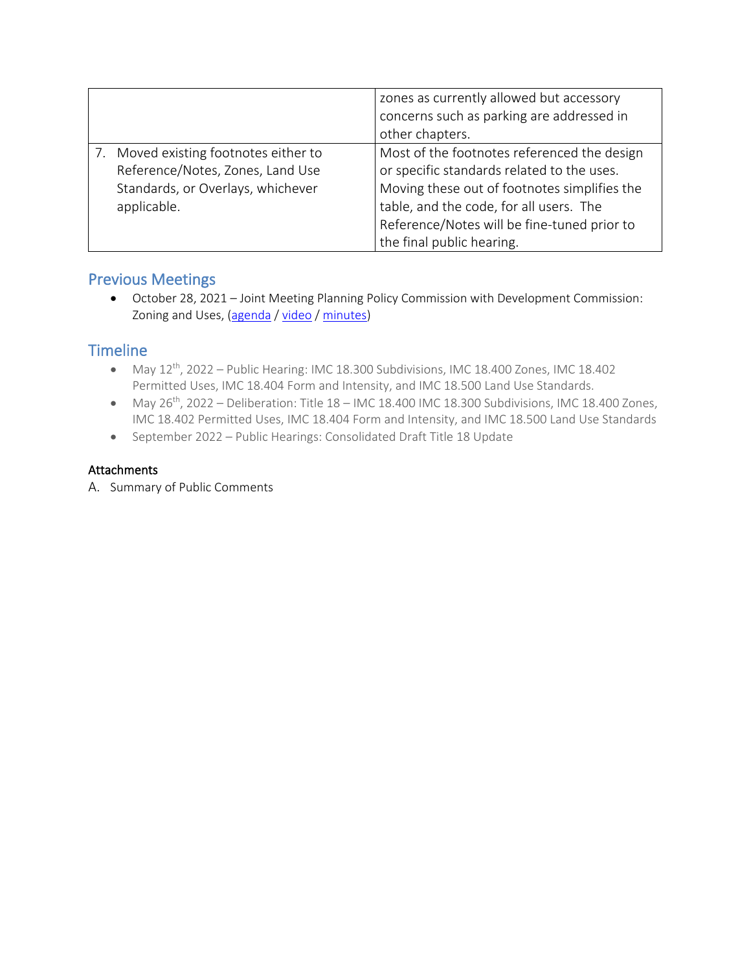|                                    | zones as currently allowed but accessory     |
|------------------------------------|----------------------------------------------|
|                                    | concerns such as parking are addressed in    |
|                                    | other chapters.                              |
| Moved existing footnotes either to | Most of the footnotes referenced the design  |
| Reference/Notes, Zones, Land Use   | or specific standards related to the uses.   |
| Standards, or Overlays, whichever  | Moving these out of footnotes simplifies the |
| applicable.                        | table, and the code, for all users. The      |
|                                    | Reference/Notes will be fine-tuned prior to  |
|                                    | the final public hearing.                    |

## Previous Meetings

• October 28, 2021 – Joint Meeting Planning Policy Commission with Development Commission: Zoning and Uses, [\(agenda](https://issaquah.civicweb.net/document/146907?printPdf=true) / [video](https://youtu.be/fWy0JlRvJXc) / [minutes\)](https://issaquah.civicweb.net/document/148581)

# **Timeline**

- May  $12^{th}$ , 2022 Public Hearing: IMC 18.300 Subdivisions, IMC 18.400 Zones, IMC 18.402 Permitted Uses, IMC 18.404 Form and Intensity, and IMC 18.500 Land Use Standards.
- May  $26^{th}$ , 2022 Deliberation: Title  $18 -$  IMC 18.400 IMC 18.300 Subdivisions, IMC 18.400 Zones, IMC 18.402 Permitted Uses, IMC 18.404 Form and Intensity, and IMC 18.500 Land Use Standards
- September 2022 Public Hearings: Consolidated Draft Title 18 Update

### Attachments

A. Summary of Public Comments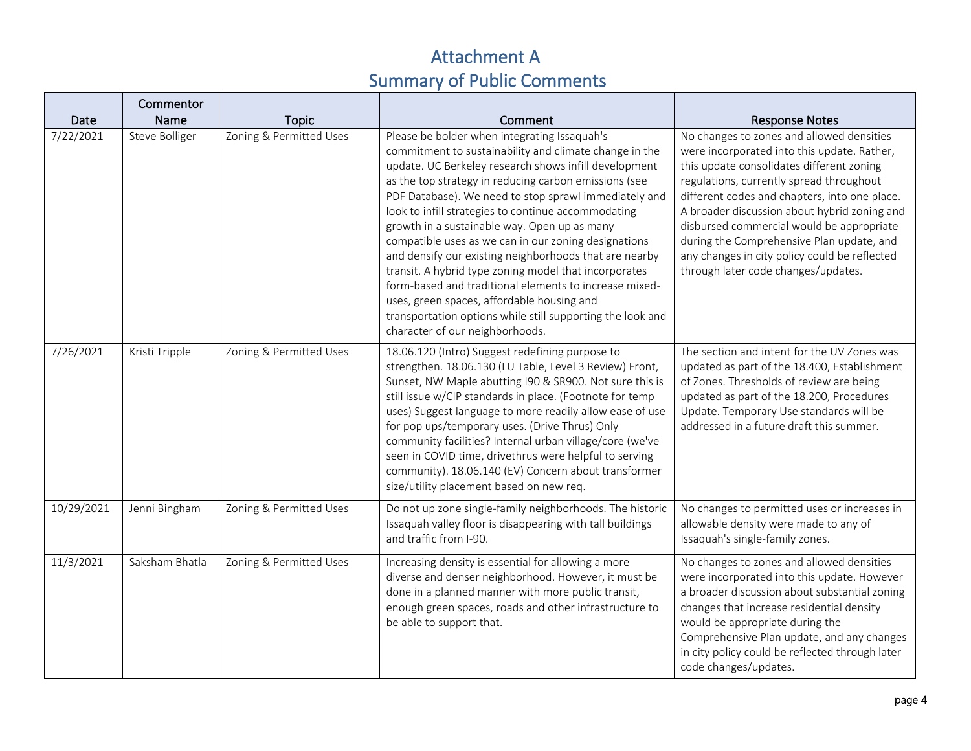# Attachment A Summary of Public Comments

|            | Commentor      |                         |                                                                                                                                                                                                                                                                                                                                                                                                                                                                                                                                                                                                                                                                                                                                                                              |                                                                                                                                                                                                                                                                                                                                                                                                                                                                      |
|------------|----------------|-------------------------|------------------------------------------------------------------------------------------------------------------------------------------------------------------------------------------------------------------------------------------------------------------------------------------------------------------------------------------------------------------------------------------------------------------------------------------------------------------------------------------------------------------------------------------------------------------------------------------------------------------------------------------------------------------------------------------------------------------------------------------------------------------------------|----------------------------------------------------------------------------------------------------------------------------------------------------------------------------------------------------------------------------------------------------------------------------------------------------------------------------------------------------------------------------------------------------------------------------------------------------------------------|
| Date       | Name           | <b>Topic</b>            | Comment                                                                                                                                                                                                                                                                                                                                                                                                                                                                                                                                                                                                                                                                                                                                                                      | <b>Response Notes</b>                                                                                                                                                                                                                                                                                                                                                                                                                                                |
| 7/22/2021  | Steve Bolliger | Zoning & Permitted Uses | Please be bolder when integrating Issaquah's<br>commitment to sustainability and climate change in the<br>update. UC Berkeley research shows infill development<br>as the top strategy in reducing carbon emissions (see<br>PDF Database). We need to stop sprawl immediately and<br>look to infill strategies to continue accommodating<br>growth in a sustainable way. Open up as many<br>compatible uses as we can in our zoning designations<br>and densify our existing neighborhoods that are nearby<br>transit. A hybrid type zoning model that incorporates<br>form-based and traditional elements to increase mixed-<br>uses, green spaces, affordable housing and<br>transportation options while still supporting the look and<br>character of our neighborhoods. | No changes to zones and allowed densities<br>were incorporated into this update. Rather,<br>this update consolidates different zoning<br>regulations, currently spread throughout<br>different codes and chapters, into one place.<br>A broader discussion about hybrid zoning and<br>disbursed commercial would be appropriate<br>during the Comprehensive Plan update, and<br>any changes in city policy could be reflected<br>through later code changes/updates. |
| 7/26/2021  | Kristi Tripple | Zoning & Permitted Uses | 18.06.120 (Intro) Suggest redefining purpose to<br>strengthen. 18.06.130 (LU Table, Level 3 Review) Front,<br>Sunset, NW Maple abutting I90 & SR900. Not sure this is<br>still issue w/CIP standards in place. (Footnote for temp<br>uses) Suggest language to more readily allow ease of use<br>for pop ups/temporary uses. (Drive Thrus) Only<br>community facilities? Internal urban village/core (we've<br>seen in COVID time, drivethrus were helpful to serving<br>community). 18.06.140 (EV) Concern about transformer<br>size/utility placement based on new req.                                                                                                                                                                                                    | The section and intent for the UV Zones was<br>updated as part of the 18.400, Establishment<br>of Zones. Thresholds of review are being<br>updated as part of the 18.200, Procedures<br>Update. Temporary Use standards will be<br>addressed in a future draft this summer.                                                                                                                                                                                          |
| 10/29/2021 | Jenni Bingham  | Zoning & Permitted Uses | Do not up zone single-family neighborhoods. The historic<br>Issaquah valley floor is disappearing with tall buildings<br>and traffic from I-90.                                                                                                                                                                                                                                                                                                                                                                                                                                                                                                                                                                                                                              | No changes to permitted uses or increases in<br>allowable density were made to any of<br>Issaquah's single-family zones.                                                                                                                                                                                                                                                                                                                                             |
| 11/3/2021  | Saksham Bhatla | Zoning & Permitted Uses | Increasing density is essential for allowing a more<br>diverse and denser neighborhood. However, it must be<br>done in a planned manner with more public transit,<br>enough green spaces, roads and other infrastructure to<br>be able to support that.                                                                                                                                                                                                                                                                                                                                                                                                                                                                                                                      | No changes to zones and allowed densities<br>were incorporated into this update. However<br>a broader discussion about substantial zoning<br>changes that increase residential density<br>would be appropriate during the<br>Comprehensive Plan update, and any changes<br>in city policy could be reflected through later<br>code changes/updates.                                                                                                                  |